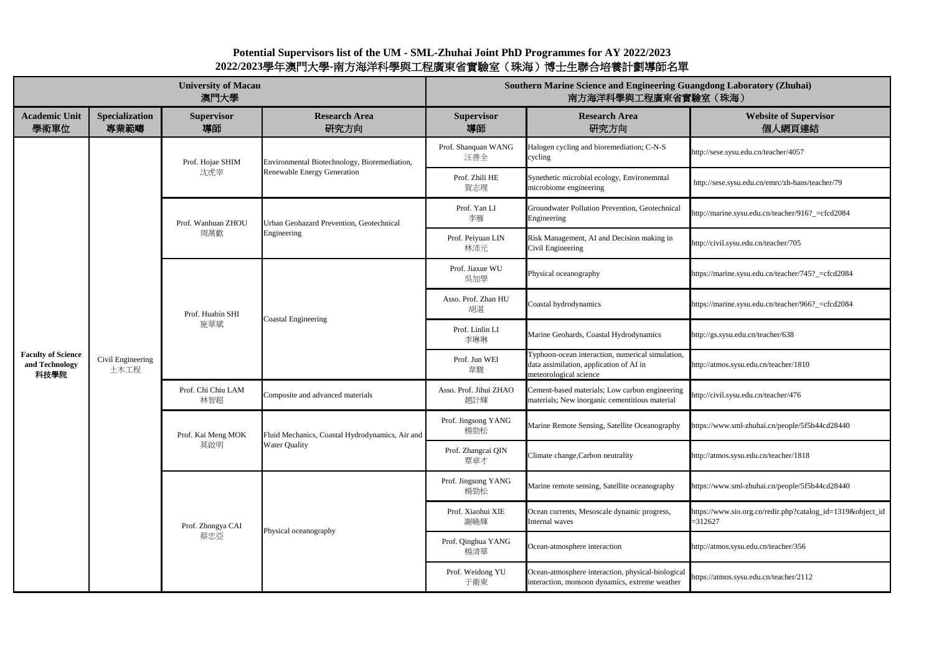### **Website of Supervisor** 個人網頁連結

://sese.sysu.edu.cn/teacher/4057

p://sese.sysu.edu.cn/emrc/zh-hans/teacher/79

://marine.sysu.edu.cn/teacher/916?\_=cfcd2084

://civil.sysu.edu.cn/teacher/705

s://marine.sysu.edu.cn/teacher/745?\_=cfcd2084

s://marine.sysu.edu.cn/teacher/966?\_=cfcd2084

://gs.sysu.edu.cn/teacher/638

://atmos.sysu.edu.cn/teacher/1810

://civil.sysu.edu.cn/teacher/476

s://www.sml-zhuhai.cn/people/5f5b44cd28440

://atmos.sysu.edu.cn/teacher/1818

s://www.sml-zhuhai.cn/people/5f5b44cd28440

s://www.sio.org.cn/redir.php?catalog\_id=1319&object\_id =312627

://atmos.sysu.edu.cn/teacher/356

s://atmos.sysu.edu.cn/teacher/2112

|                                                     |                               | <b>University of Macau</b><br>澳門大學 | <b>Southern Marine Science and Engineering Guang</b><br>南方海洋科學與工程廣東省實驗      |                               |                                                                                                                       |                 |
|-----------------------------------------------------|-------------------------------|------------------------------------|-----------------------------------------------------------------------------|-------------------------------|-----------------------------------------------------------------------------------------------------------------------|-----------------|
| <b>Academic Unit</b><br>學術單位                        | <b>Specialization</b><br>專業範疇 | <b>Supervisor</b><br>導師            | <b>Research Area</b><br>研究方向                                                | <b>Supervisor</b><br>導師       | <b>Research Area</b><br>研究方向                                                                                          |                 |
| <b>Faculty of Science</b><br>and Technology<br>科技學院 | Civil Engineering<br>土木工程     | Prof. Hojae SHIM<br>沈虎宰            | Environmental Biotechnology, Bioremediation,<br>Renewable Energy Generation | Prof. Shanquan WANG<br>汪善全    | Halogen cycling and bioremediation; C-N-S<br>cycling                                                                  | http:           |
|                                                     |                               |                                    |                                                                             | Prof. Zhili HE<br>賀志理         | Synethetic microbial ecology, Environemntal<br>microbiome engineering                                                 | http            |
|                                                     |                               | Prof. Wanhuan ZHOU<br>周萬歡          | Urban Geohazard Prevention, Geotechnical<br>Engineering                     | Prof. Yan LI<br>李雁            | Groundwater Pollution Prevention, Geotechnical<br>Engineering                                                         | http:           |
|                                                     |                               |                                    |                                                                             | Prof. Peiyuan LIN<br>林沛元      | Risk Management, AI and Decision making in<br>Civil Engineering                                                       | http:           |
|                                                     |                               | Prof. Huabin SHI<br>施華斌            | <b>Coastal Engineering</b>                                                  | Prof. Jiaxue WU<br>吳加學        | Physical oceanography                                                                                                 | https           |
|                                                     |                               |                                    |                                                                             | Asso. Prof. Zhan HU<br>胡湛     | Coastal hydrodynamics                                                                                                 | https           |
|                                                     |                               |                                    |                                                                             | Prof. Linlin LI<br>李琳琳        | Marine Geohards, Coastal Hydrodynamics                                                                                | http:           |
|                                                     |                               |                                    |                                                                             | Prof. Jun WEI<br>韋駿           | Typhoon-ocean interaction, numerical simulation,<br>data assimilation, application of AI in<br>meteorological science | http:           |
|                                                     |                               | Prof. Chi Chiu LAM<br>林智超          | Composite and advanced materials                                            | Asso. Prof. Jihui ZHAO<br>趙計輝 | Cement-based materials; Low carbon engineering<br>materials; New inorganic cementitious material                      | http:           |
|                                                     |                               | Prof. Kai Meng MOK<br>莫啟明          | Fluid Mechanics, Coastal Hydrodynamics, Air and<br><b>Water Quality</b>     | Prof. Jingsong YANG<br>楊勁松    | Marine Remote Sensing, Satellite Oceanography                                                                         | https           |
|                                                     |                               |                                    |                                                                             | Prof. Zhangcai QIN<br>覃章才     | Climate change, Carbon neutrality                                                                                     | http:           |
|                                                     |                               | Prof. Zhongya CAI<br>蔡忠亞           | Physical oceanography                                                       | Prof. Jingsong YANG<br>楊勁松    | Marine remote sensing, Satellite oceanography                                                                         | https           |
|                                                     |                               |                                    |                                                                             | Prof. Xiaohui XIE<br>謝曉輝      | Ocean currents, Mesoscale dynamic progress,<br>Internal waves                                                         | https<br>$=312$ |
|                                                     |                               |                                    |                                                                             | Prof. Qinghua YANG<br>楊清華     | Ocean-atmosphere interaction                                                                                          | http:           |
|                                                     |                               |                                    |                                                                             | Prof. Weidong YU<br>于衛東       | Ocean-atmosphere interaction, physical-biological<br>interaction, monsoon dynamics, extreme weather                   | https           |

## **Southern Marine Science And Science And Science And Science And Science Engineering Laboratory (Zhuhai)** 室(珠海)

# **Potential Supervisors list of the UM - SML-Zhuhai Joint PhD Programmes for AY 2022/2023 2022/2023**學年澳門大學**-**南方海洋科學與工程廣東省實驗室(珠海)博士生聯合培養計劃導師名單